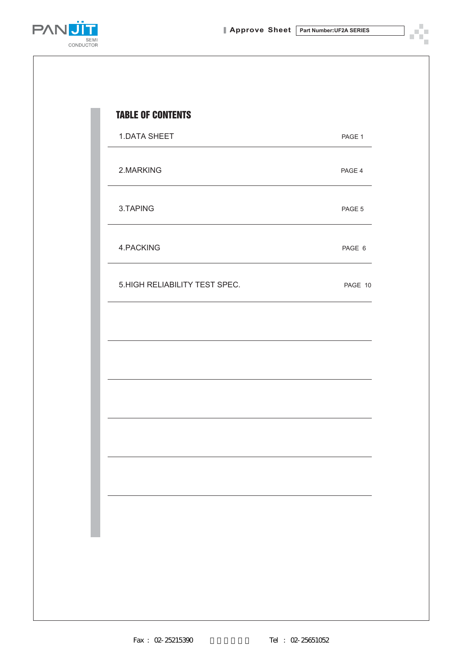ĸ,



| <b>1.DATA SHEET</b>           | PAGE 1  |
|-------------------------------|---------|
| 2.MARKING                     | PAGE 4  |
| 3.TAPING                      | PAGE 5  |
| 4.PACKING                     | PAGE 6  |
| 5.HIGH RELIABILITY TEST SPEC. | PAGE 10 |
|                               |         |
|                               |         |
|                               |         |
|                               |         |
|                               |         |
|                               |         |
|                               |         |
|                               |         |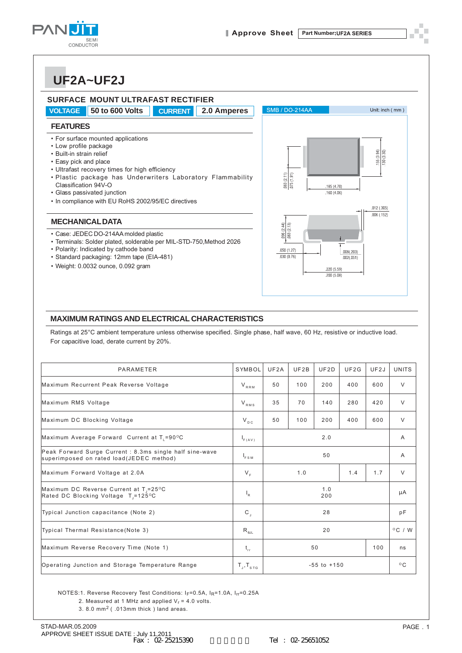

### **UF2A~UF2J**



#### **MAXIMUM RATINGS AND ELECTRICAL CHARACTERISTICS**

Ratings at 25°C ambient temperature unless otherwise specified. Single phase, half wave, 60 Hz, resistive or inductive load. For capacitive load, derate current by 20%.

| PARAMETER                                                                                            | SYMBOL                      | UF2A | UF2B | UF2D            | UF2G | UF2J           | <b>UNITS</b>     |
|------------------------------------------------------------------------------------------------------|-----------------------------|------|------|-----------------|------|----------------|------------------|
| Maximum Recurrent Peak Reverse Voltage                                                               | $V_{RRM}$                   | 50   | 100  | 200             | 400  | 600            | $\vee$           |
| Maximum RMS Voltage                                                                                  | $V_{RMS}$                   | 35   | 70   | 140             | 280  | 420            | $\vee$           |
| Maximum DC Blocking Voltage                                                                          | $V_{DC}$                    | 50   | 100  | 200             | 400  | 600            | $\vee$           |
| Maximum Average Forward Current at T <sub>1</sub> =90°C                                              |                             |      |      | 2.0             |      |                | $\overline{A}$   |
| Peak Forward Surge Current : 8.3ms single half sine-wave<br>superimposed on rated load(JEDEC method) |                             | 50   |      |                 |      | $\overline{A}$ |                  |
| Maximum Forward Voltage at 2.0A                                                                      |                             |      | 1.0  |                 | 1.4  | 1.7            | $\vee$           |
| Maximum DC Reverse Current at T <sub>1</sub> =25°C<br>Rated DC Blocking Voltage $T = 125^{\circ}$ C  |                             |      |      | 1.0<br>200      |      |                | μA               |
| Typical Junction capacitance (Note 2)                                                                |                             |      |      | 28              |      |                | pF               |
| Typical Thermal Resistance(Note 3)                                                                   |                             |      |      | 20              |      |                | $^{\circ}$ C / W |
| Maximum Reverse Recovery Time (Note 1)                                                               |                             |      |      | 50              |      | 100            | ns               |
| Operating Junction and Storage Temperature Range                                                     | $T_{\rm J}$ , $T_{\rm src}$ |      |      | $-55$ to $+150$ |      |                | $^{\circ}$ C     |

NOTES:1. Reverse Recovery Test Conditions: IF=0.5A, IR=1.0A, IFF=0.25A

- 2. Measured at 1 MHz and applied  $V_r = 4.0$  volts.
- 3. 8.0 mm2 ( .013mm thick ) land areas.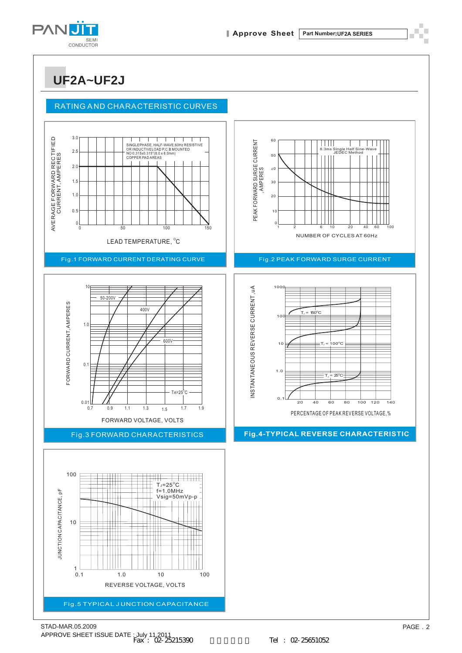

**UF2A~UF2J**

#### RATING AND CHARACTERISTIC CURVES

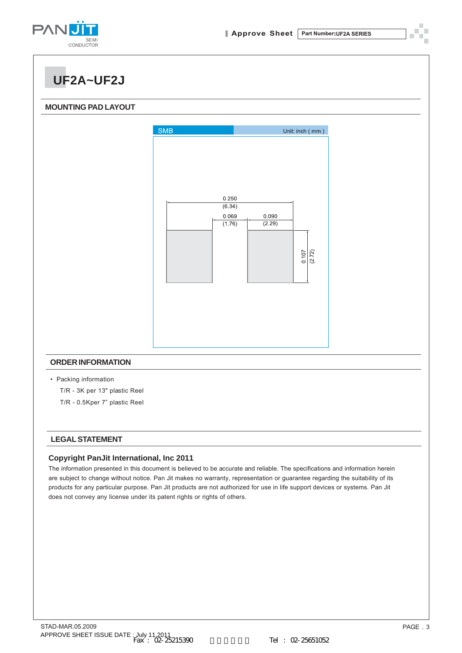

**UF2A~UF2J**

#### **MOUNTING PAD LAYOUT**



T/R - 0.5Kper 7" plastic Reel

#### **LEGAL STATEMENT**

#### **Copyright PanJit International, Inc 2011**

The information presented in this document is believed to be accurate and reliable. The specifications and information herein are subject to change without notice. Pan Jit makes no warranty, representation or guarantee regarding the suitability of its products for any particular purpose. Pan Jit products are not authorized for use in life support devices or systems. Pan Jit does not convey any license under its patent rights or rights of others.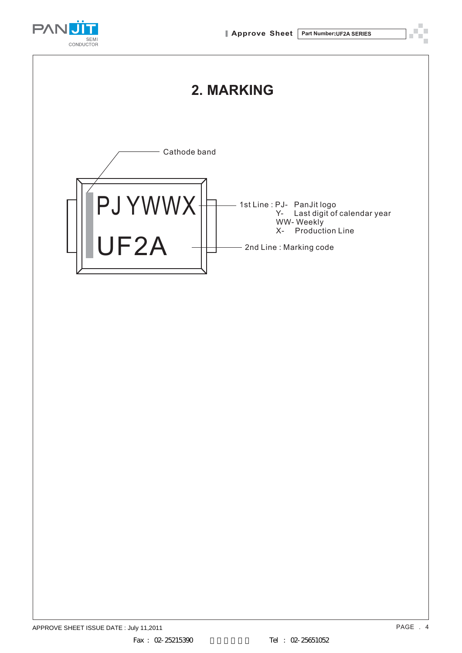

1st Line : PJ- PanJit logo

- 2nd Line : Marking code

WW- Weekly

X- Production Line

Y- Last digit of calendar year



UF2A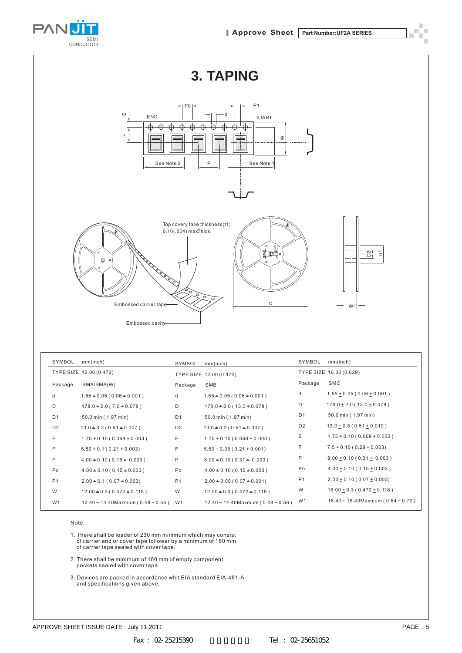



| SYMBOL         | mm(inch)                                | SYMBOL         | mm(inch)                                | SYMBOL         | mm(inch)                                |
|----------------|-----------------------------------------|----------------|-----------------------------------------|----------------|-----------------------------------------|
|                | TYPE SIZE 12.00 (0.472)                 |                | TYPE SIZE 12.00 (0.472)                 |                | TYPE SIZE 16.00 (0.629)                 |
| Package        | SMA/SMA(W)                              | Package        | SMB                                     | Package        | <b>SMC</b>                              |
| d              | $1.55 + 0.05(0.06 + 0.001)$             | d              | $1.55 + 0.05(0.06 + 0.001)$             | d              | $1.55 \pm 0.05$ (0.06 $\pm$ 0.001)      |
| D              | $178.0 + 2.0 (7.0 + 0.078)$             | D              | $178.0 + 2.0 (13.0 + 0.078)$            | D              | $178.0 \pm 2.0$ (13.0 $\pm$ 0.078)      |
| D <sub>1</sub> | 50.0 min (1.97 min)                     | D <sub>1</sub> | 50.0 min (1.97 min)                     | D <sub>1</sub> | 50.0 min (1.97 min)                     |
| D <sub>2</sub> | $13.0 \pm 0.2$ (0.51 $\pm$ 0.007)       | D <sub>2</sub> | $13.0 \pm 0.2$ (0.51 $\pm$ 0.007)       | D <sub>2</sub> | $13.0 + 0.5(0.51 + 0.019)$              |
| Ε              | $1.75 + 0.10 (0.068 + 0.003)$           | Ε              | $1.75 + 0.10 (0.068 + 0.003)$           | Ε              | $1.75 \pm 0.10$ (0.068 $\pm$ 0.003)     |
| F              | $5.50 + 0.1 (0.21 + 0.003)$             | F              | $5.50 + 0.05(0.21 + 0.001)$             | F              | $7.5 \pm 0.10$ (0.29 $\pm$ 0.003)       |
| P              | $4.00 + 0.10 (0.15 + 0.003)$            | P              | $8.00 + 0.10 (0.31 + 0.003)$            | P              | $8.00 + 0.10(0.31 + 0.003)$             |
| Po             | $4.00 + 0.10 (0.15 + 0.003)$            | Po             | $4.00 + 0.10 (0.15 + 0.003)$            | Po             | $4.00 \pm 0.10$ (0.15 $\pm$ 0.003)      |
| P <sub>1</sub> | $2.00 + 0.1 (0.07 + 0.003)$             | P <sub>1</sub> | $2.00 + 0.05(0.07 + 0.001)$             | P <sub>1</sub> | $2.00 \pm 0.10$ (0.07 $\pm$ 0.003)      |
| W              | $12.00 + 0.3(0.472 + 0.118)$            | W              | $12.00 + 0.3(0.472 + 0.118)$            | W              | $16.00 + 0.3(0.472 + 0.118)$            |
| W <sub>1</sub> | $12.40 \sim 14.40$ Maxmum (0.48 ~ 0.56) | W1             | $12.40 \sim 14.40$ Maxmum (0.48 ~ 0.56) | W1             | $16.40 \sim 18.40$ Maxmum (0.64 ~ 0.72) |

Note:

1. There shall be leader of 230 mm minimum which ma<sup>y</sup> consist of carrier and or cover tape follower b<sup>y</sup> a minimum of 160 mm of carrier tape sealed with cover tape.

2. There shall be minimum of 160 mm of empt<sup>y</sup> component pockets sealed with cover tape.

3. Devices are packed in accordance whit EIA standard EIA-481-A and specifications given above.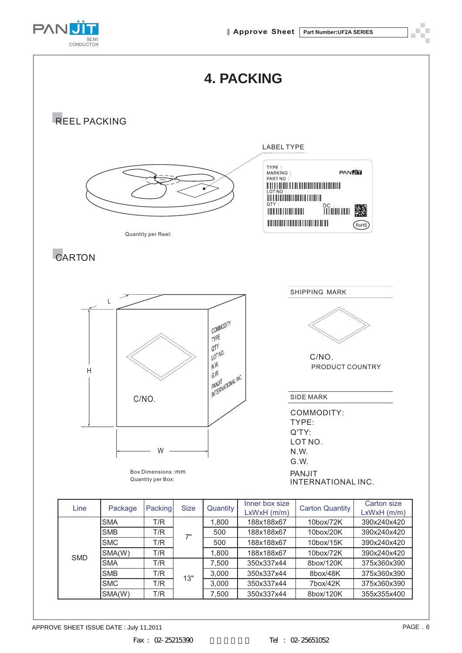

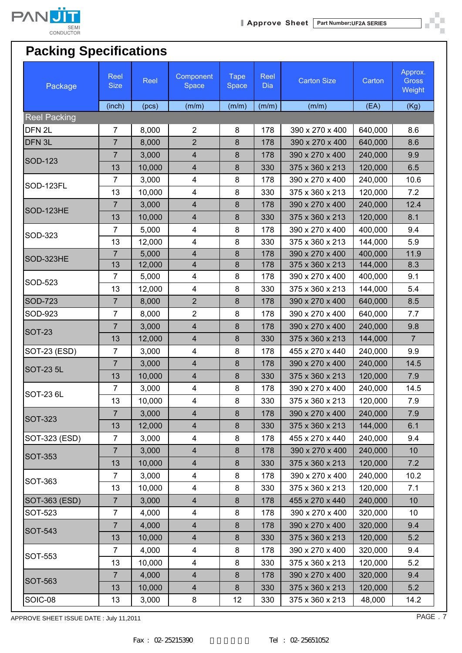

ð. шŬ

# **Packing Specifications**

| Package             | Reel<br><b>Size</b> | Reel   | Component<br>Space      | <b>Tape</b><br>Space | Reel<br>Dia | <b>Carton Size</b> | Carton  | Approx.<br><b>Gross</b><br>Weight |
|---------------------|---------------------|--------|-------------------------|----------------------|-------------|--------------------|---------|-----------------------------------|
|                     | (inch)              | (pcs)  | (m/m)                   | (m/m)                | (m/m)       | (m/m)              | (EA)    | (Kg)                              |
| <b>Reel Packing</b> |                     |        |                         |                      |             |                    |         |                                   |
| DFN <sub>2L</sub>   | $\overline{7}$      | 8,000  | $\overline{2}$          | 8                    | 178         | 390 x 270 x 400    | 640,000 | 8.6                               |
| DFN <sub>3L</sub>   | $\overline{7}$      | 8,000  | $\overline{2}$          | 8                    | 178         | 390 x 270 x 400    | 640,000 | 8.6                               |
| SOD-123             | 7                   | 3,000  | $\overline{4}$          | 8                    | 178         | 390 x 270 x 400    | 240,000 | 9.9                               |
|                     | 13                  | 10,000 | $\overline{4}$          | 8                    | 330         | 375 x 360 x 213    | 120,000 | 6.5                               |
| SOD-123FL           | $\overline{7}$      | 3,000  | 4                       | 8                    | 178         | 390 x 270 x 400    | 240,000 | 10.6                              |
|                     | 13                  | 10,000 | $\overline{\mathbf{4}}$ | 8                    | 330         | 375 x 360 x 213    | 120,000 | 7.2                               |
| SOD-123HE           | $\overline{7}$      | 3,000  | $\overline{4}$          | 8                    | 178         | 390 x 270 x 400    | 240,000 | 12.4                              |
|                     | 13                  | 10,000 | $\overline{4}$          | 8                    | 330         | 375 x 360 x 213    | 120,000 | 8.1                               |
| SOD-323             | $\overline{7}$      | 5,000  | 4                       | 8                    | 178         | 390 x 270 x 400    | 400,000 | 9.4                               |
|                     | 13                  | 12,000 | 4                       | 8                    | 330         | 375 x 360 x 213    | 144,000 | 5.9                               |
| SOD-323HE           | $\overline{7}$      | 5,000  | $\overline{4}$          | 8                    | 178         | 390 x 270 x 400    | 400,000 | 11.9                              |
|                     | 13                  | 12,000 | $\overline{4}$          | 8                    | 178         | 375 x 360 x 213    | 144,000 | 8.3                               |
| SOD-523             | $\overline{7}$      | 5,000  | 4                       | 8                    | 178         | 390 x 270 x 400    | 400,000 | 9.1                               |
|                     | 13                  | 12,000 | 4                       | 8                    | 330         | 375 x 360 x 213    | 144,000 | 5.4                               |
| <b>SOD-723</b>      | $\overline{7}$      | 8,000  | $\overline{2}$          | 8                    | 178         | 390 x 270 x 400    | 640,000 | 8.5                               |
| SOD-923             | $\overline{7}$      | 8,000  | $\overline{2}$          | 8                    | 178         | 390 x 270 x 400    | 640,000 | 7.7                               |
| <b>SOT-23</b>       | $\overline{7}$      | 3,000  | $\overline{4}$          | 8                    | 178         | 390 x 270 x 400    | 240,000 | 9.8                               |
|                     | 13                  | 12,000 | $\overline{4}$          | 8                    | 330         | 375 x 360 x 213    | 144,000 | $\overline{7}$                    |
| SOT-23 (ESD)        | $\overline{7}$      | 3,000  | 4                       | 8                    | 178         | 455 x 270 x 440    | 240,000 | 9.9                               |
| <b>SOT-23 5L</b>    | $\overline{7}$      | 3,000  | $\overline{4}$          | 8                    | 178         | 390 x 270 x 400    | 240,000 | 14.5                              |
|                     | 13                  | 10,000 | $\overline{4}$          | 8                    | 330         | 375 x 360 x 213    | 120,000 | 7.9                               |
| SOT-23 6L           | $\overline{7}$      | 3,000  | 4                       | 8                    | 178         | 390 x 270 x 400    | 240,000 | 14.5                              |
|                     | 13                  | 10,000 | 4                       | 8                    | 330         | 375 x 360 x 213    | 120,000 | 7.9                               |
| SOT-323             | $\overline{7}$      | 3,000  | $\overline{4}$          | $\bf 8$              | 178         | 390 x 270 x 400    | 240,000 | 7.9                               |
|                     | 13                  | 12,000 | $\overline{\mathbf{4}}$ | 8                    | 330         | 375 x 360 x 213    | 144,000 | 6.1                               |
| SOT-323 (ESD)       | $\overline{7}$      | 3,000  | 4                       | 8                    | 178         | 455 x 270 x 440    | 240,000 | 9.4                               |
| <b>SOT-353</b>      | $\overline{7}$      | 3,000  | $\overline{4}$          | $\bf 8$              | 178         | 390 x 270 x 400    | 240,000 | 10                                |
|                     | 13                  | 10,000 | $\overline{4}$          | 8                    | 330         | 375 x 360 x 213    | 120,000 | 7.2                               |
| SOT-363             | $\overline{7}$      | 3,000  | $\overline{\mathbf{4}}$ | 8                    | 178         | 390 x 270 x 400    | 240,000 | 10.2                              |
|                     | 13                  | 10,000 | 4                       | 8                    | 330         | 375 x 360 x 213    | 120,000 | 7.1                               |
| SOT-363 (ESD)       | $\overline{7}$      | 3,000  | $\overline{4}$          | 8                    | 178         | 455 x 270 x 440    | 240,000 | 10                                |
| SOT-523             | $\overline{7}$      | 4,000  | 4                       | 8                    | 178         | 390 x 270 x 400    | 320,000 | 10                                |
| SOT-543             | $\overline{7}$      | 4,000  | $\overline{4}$          | $\bf 8$              | 178         | 390 x 270 x 400    | 320,000 | 9.4                               |
|                     | 13                  | 10,000 | $\overline{4}$          | $\bf 8$              | 330         | 375 x 360 x 213    | 120,000 | 5.2                               |
| SOT-553             | $\overline{7}$      | 4,000  | $\overline{\mathbf{4}}$ | 8                    | 178         | 390 x 270 x 400    | 320,000 | 9.4                               |
|                     | 13                  | 10,000 | 4                       | 8                    | 330         | 375 x 360 x 213    | 120,000 | 5.2                               |
| SOT-563             | $\overline{7}$      | 4,000  | $\overline{4}$          | 8                    | 178         | 390 x 270 x 400    | 320,000 | 9.4                               |
|                     | 13                  | 10,000 | $\overline{4}$          | 8                    | 330         | 375 x 360 x 213    | 120,000 | 5.2                               |
| SOIC-08             | 13                  | 3,000  | 8                       | 12                   | 330         | 375 x 360 x 213    | 48,000  | 14.2                              |

APPROVE SHEET ISSUE DATE : July 11,2011

PAGE . 7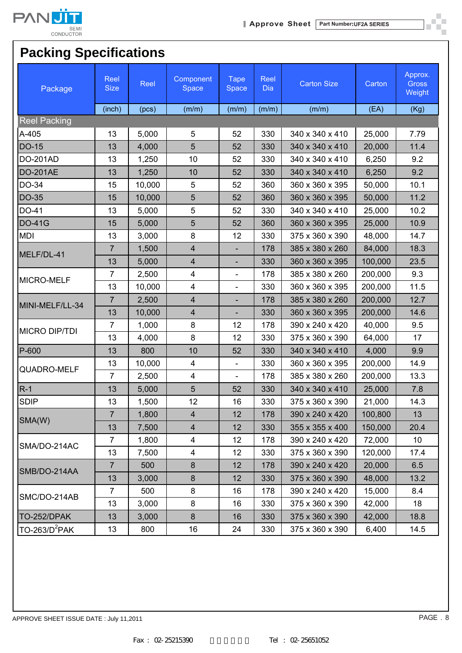

I.

## **Packing Specifications**

| Package              | Reel<br><b>Size</b> | Reel   | Component<br>Space      | <b>Tape</b><br>Space     | Reel<br><b>Dia</b> | <b>Carton Size</b> | Carton  | Approx.<br><b>Gross</b><br>Weight |
|----------------------|---------------------|--------|-------------------------|--------------------------|--------------------|--------------------|---------|-----------------------------------|
|                      | (inch)              | (pcs)  | (m/m)                   | (m/m)                    | (m/m)              | (m/m)              | (EA)    | (Kg)                              |
| <b>Reel Packing</b>  |                     |        |                         |                          |                    |                    |         |                                   |
| A-405                | 13                  | 5,000  | 5                       | 52                       | 330                | 340 x 340 x 410    | 25,000  | 7.79                              |
| DO-15                | 13                  | 4,000  | 5                       | 52                       | 330                | 340 x 340 x 410    | 20,000  | 11.4                              |
| <b>DO-201AD</b>      | 13                  | 1,250  | 10                      | 52                       | 330                | 340 x 340 x 410    | 6,250   | 9.2                               |
| <b>DO-201AE</b>      | 13                  | 1,250  | 10                      | 52                       | 330                | 340 x 340 x 410    | 6,250   | 9.2                               |
| DO-34                | 15                  | 10,000 | 5                       | 52                       | 360                | 360 x 360 x 395    | 50,000  | 10.1                              |
| DO-35                | 15                  | 10,000 | 5                       | 52                       | 360                | 360 x 360 x 395    | 50,000  | 11.2                              |
| DO-41                | 13                  | 5,000  | 5                       | 52                       | 330                | 340 x 340 x 410    | 25,000  | 10.2                              |
| <b>DO-41G</b>        | 15                  | 5,000  | $\overline{5}$          | 52                       | 360                | 360 x 360 x 395    | 25,000  | 10.9                              |
| <b>MDI</b>           | 13                  | 3,000  | 8                       | 12                       | 330                | 375 x 360 x 390    | 48,000  | 14.7                              |
| MELF/DL-41           | $\overline{7}$      | 1,500  | $\overline{4}$          | $\blacksquare$           | 178                | 385 x 380 x 260    | 84,000  | 18.3                              |
|                      | 13                  | 5,000  | $\overline{4}$          |                          | 330                | 360 x 360 x 395    | 100,000 | 23.5                              |
| MICRO-MELF           | $\overline{7}$      | 2,500  | $\overline{\mathbf{4}}$ | $\blacksquare$           | 178                | 385 x 380 x 260    | 200,000 | 9.3                               |
|                      | 13                  | 10,000 | $\overline{\mathbf{4}}$ | $\overline{\phantom{a}}$ | 330                | 360 x 360 x 395    | 200,000 | 11.5                              |
|                      | $\overline{7}$      | 2,500  | $\overline{4}$          | $\blacksquare$           | 178                | 385 x 380 x 260    | 200,000 | 12.7                              |
| MINI-MELF/LL-34      | 13                  | 10,000 | $\overline{4}$          |                          | 330                | 360 x 360 x 395    | 200,000 | 14.6                              |
| <b>MICRO DIP/TDI</b> | $\overline{7}$      | 1,000  | 8                       | 12                       | 178                | 390 x 240 x 420    | 40,000  | 9.5                               |
|                      | 13                  | 4,000  | 8                       | 12                       | 330                | 375 x 360 x 390    | 64,000  | 17                                |
| P-600                | 13                  | 800    | 10                      | 52                       | 330                | 340 x 340 x 410    | 4,000   | 9.9                               |
|                      | 13                  | 10,000 | $\overline{\mathbf{4}}$ |                          | 330                | 360 x 360 x 395    | 200,000 | 14.9                              |
| QUADRO-MELF          | $\overline{7}$      | 2,500  | $\overline{\mathbf{4}}$ | $\blacksquare$           | 178                | 385 x 380 x 260    | 200,000 | 13.3                              |
| $R-1$                | 13                  | 5,000  | 5                       | 52                       | 330                | 340 x 340 x 410    | 25,000  | 7.8                               |
| <b>SDIP</b>          | 13                  | 1,500  | 12                      | 16                       | 330                | 375 x 360 x 390    | 21,000  | 14.3                              |
|                      | $\overline{7}$      | 1,800  | $\overline{\mathbf{4}}$ | 12                       | 178                | 390 x 240 x 420    | 100,800 | 13                                |
| SMA(W)               | 13                  | 7,500  | $\overline{\mathbf{4}}$ | 12                       | 330                | 355 x 355 x 400    | 150,000 | 20.4                              |
|                      | $\overline{7}$      | 1,800  | $\overline{\mathbf{4}}$ | 12                       | 178                | 390 x 240 x 420    | 72,000  | 10 <sup>1</sup>                   |
| SMA/DO-214AC         | 13                  | 7,500  | $\overline{\mathbf{4}}$ | 12                       | 330                | 375 x 360 x 390    | 120,000 | 17.4                              |
|                      | $\overline{7}$      | 500    | 8                       | 12                       | 178                | 390 x 240 x 420    | 20,000  | 6.5                               |
| SMB/DO-214AA         | 13                  | 3,000  | $\bf 8$                 | 12                       | 330                | 375 x 360 x 390    | 48,000  | 13.2                              |
|                      | $\overline{7}$      | 500    | 8                       | 16                       | 178                | 390 x 240 x 420    | 15,000  | 8.4                               |
| SMC/DO-214AB         | 13                  | 3,000  | 8                       | 16                       | 330                | 375 x 360 x 390    | 42,000  | 18                                |
| TO-252/DPAK          | 13                  | 3,000  | 8                       | 16                       | 330                | 375 x 360 x 390    | 42,000  | 18.8                              |
| $TO-263/D2PAK$       | 13                  | 800    | 16                      | 24                       | 330                | 375 x 360 x 390    | 6,400   | 14.5                              |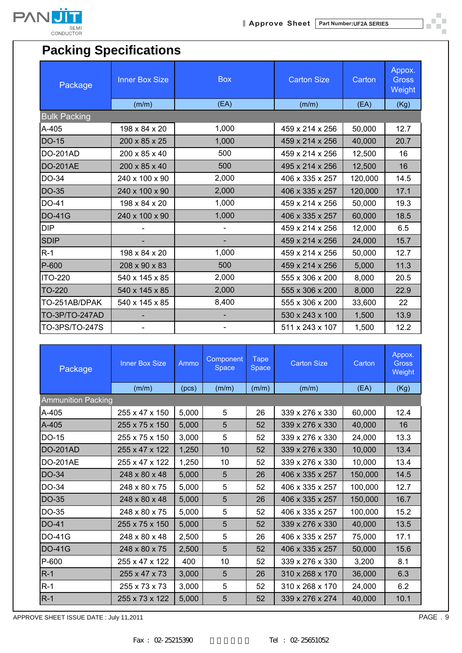

п шí

## **Packing Specifications**

| Package             | <b>Inner Box Size</b> | <b>Box</b>               | <b>Carton Size</b> | Carton  | Appox.<br>Gross<br>Weight |  |  |  |  |
|---------------------|-----------------------|--------------------------|--------------------|---------|---------------------------|--|--|--|--|
|                     | (m/m)                 | (EA)                     | (m/m)              | (EA)    | (Kg)                      |  |  |  |  |
| <b>Bulk Packing</b> |                       |                          |                    |         |                           |  |  |  |  |
| A-405               | 198 x 84 x 20         | 1,000                    | 459 x 214 x 256    | 50,000  | 12.7                      |  |  |  |  |
| <b>DO-15</b>        | 200 x 85 x 25         | 1,000                    | 459 x 214 x 256    | 40,000  | 20.7                      |  |  |  |  |
| <b>DO-201AD</b>     | 200 x 85 x 40         | 500                      | 459 x 214 x 256    | 12,500  | 16                        |  |  |  |  |
| <b>DO-201AE</b>     | 200 x 85 x 40         | 500                      | 495 x 214 x 256    | 12,500  | 16                        |  |  |  |  |
| DO-34               | 240 x 100 x 90        | 2,000                    | 406 x 335 x 257    | 120,000 | 14.5                      |  |  |  |  |
| <b>DO-35</b>        | 240 x 100 x 90        | 2,000                    | 406 x 335 x 257    | 120,000 | 17.1                      |  |  |  |  |
| DO-41               | 198 x 84 x 20         | 1,000                    | 459 x 214 x 256    | 50,000  | 19.3                      |  |  |  |  |
| <b>DO-41G</b>       | 240 x 100 x 90        | 1,000                    | 406 x 335 x 257    | 60,000  | 18.5                      |  |  |  |  |
| <b>DIP</b>          |                       | $\blacksquare$           | 459 x 214 x 256    | 12,000  | 6.5                       |  |  |  |  |
| <b>SDIP</b>         |                       |                          | 459 x 214 x 256    | 24,000  | 15.7                      |  |  |  |  |
| $R-1$               | 198 x 84 x 20         | 1,000                    | 459 x 214 x 256    | 50,000  | 12.7                      |  |  |  |  |
| P-600               | 208 x 90 x 83         | 500                      | 459 x 214 x 256    | 5,000   | 11.3                      |  |  |  |  |
| <b>ITO-220</b>      | 540 x 145 x 85        | 2,000                    | 555 x 306 x 200    | 8,000   | 20.5                      |  |  |  |  |
| TO-220              | 540 x 145 x 85        | 2,000                    | 555 x 306 x 200    | 8,000   | 22.9                      |  |  |  |  |
| TO-251AB/DPAK       | 540 x 145 x 85        | 8,400                    | 555 x 306 x 200    | 33,600  | 22                        |  |  |  |  |
| TO-3P/TO-247AD      |                       |                          | 530 x 243 x 100    | 1,500   | 13.9                      |  |  |  |  |
| TO-3PS/TO-247S      |                       | $\overline{\phantom{a}}$ | 511 x 243 x 107    | 1,500   | 12.2                      |  |  |  |  |

| Package         | <b>Inner Box Size</b>     | Ammo  | Component<br><b>Space</b> | <b>Tape</b><br><b>Space</b> | <b>Carton Size</b> | Carton  | Appox.<br><b>Gross</b><br>Weight |  |  |
|-----------------|---------------------------|-------|---------------------------|-----------------------------|--------------------|---------|----------------------------------|--|--|
|                 | (m/m)                     | (pcs) | (m/m)                     | (m/m)                       | (m/m)              | (EA)    | (Kg)                             |  |  |
|                 | <b>Ammunition Packing</b> |       |                           |                             |                    |         |                                  |  |  |
| A-405           | 255 x 47 x 150            | 5,000 | 5                         | 26                          | 339 x 276 x 330    | 60,000  | 12.4                             |  |  |
| A-405           | 255 x 75 x 150            | 5,000 | 5                         | 52                          | 339 x 276 x 330    | 40,000  | 16                               |  |  |
| $DO-15$         | 255 x 75 x 150            | 3,000 | 5                         | 52                          | 339 x 276 x 330    | 24,000  | 13.3                             |  |  |
| <b>DO-201AD</b> | 255 x 47 x 122            | 1,250 | 10                        | 52                          | 339 x 276 x 330    | 10,000  | 13.4                             |  |  |
| <b>DO-201AE</b> | 255 x 47 x 122            | 1,250 | 10                        | 52                          | 339 x 276 x 330    | 10,000  | 13.4                             |  |  |
| DO-34           | 248 x 80 x 48             | 5,000 | 5                         | 26                          | 406 x 335 x 257    | 150,000 | 14.5                             |  |  |
| DO-34           | 248 x 80 x 75             | 5,000 | 5                         | 52                          | 406 x 335 x 257    | 100,000 | 12.7                             |  |  |
| DO-35           | 248 x 80 x 48             | 5,000 | 5                         | 26                          | 406 x 335 x 257    | 150,000 | 16.7                             |  |  |
| DO-35           | 248 x 80 x 75             | 5,000 | 5                         | 52                          | 406 x 335 x 257    | 100,000 | 15.2                             |  |  |
| DO-41           | 255 x 75 x 150            | 5,000 | 5                         | 52                          | 339 x 276 x 330    | 40,000  | 13.5                             |  |  |
| <b>DO-41G</b>   | 248 x 80 x 48             | 2,500 | 5                         | 26                          | 406 x 335 x 257    | 75,000  | 17.1                             |  |  |
| <b>DO-41G</b>   | 248 x 80 x 75             | 2,500 | 5                         | 52                          | 406 x 335 x 257    | 50,000  | 15.6                             |  |  |
| P-600           | 255 x 47 x 122            | 400   | 10                        | 52                          | 339 x 276 x 330    | 3,200   | 8.1                              |  |  |
| $R-1$           | 255 x 47 x 73             | 3,000 | 5                         | 26                          | 310 x 268 x 170    | 36,000  | 6.3                              |  |  |
| $R-1$           | 255 x 73 x 73             | 3,000 | 5                         | 52                          | 310 x 268 x 170    | 24,000  | 6.2                              |  |  |
| $R-1$           | 255 x 73 x 122            | 5,000 | 5                         | 52                          | 339 x 276 x 274    | 40,000  | 10.1                             |  |  |

APPROVE SHEET ISSUE DATE : July 11,2011